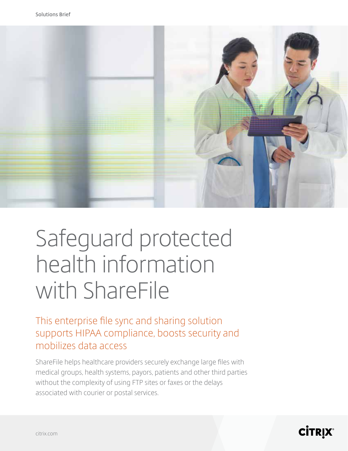

# Safeguard protected health information with ShareFile

This enterprise fle sync and sharing solution supports HIPAA compliance, boosts security and mobilizes data access

ShareFile helps healthcare providers securely exchange large fles with medical groups, health systems, payors, patients and other third parties without the complexity of using FTP sites or faxes or the delays associated with courier or postal services.

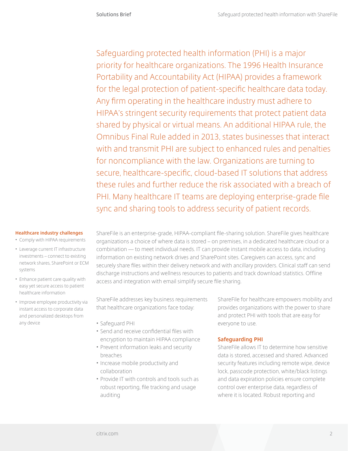Safeguarding protected health information (PHI) is a major priority for healthcare organizations. The 1996 Health Insurance Portability and Accountability Act (HIPAA) provides a framework for the legal protection of patient-specifc healthcare data today. Any frm operating in the healthcare industry must adhere to HIPAA's stringent security requirements that protect patient data shared by physical or virtual means. An additional HIPAA rule, the Omnibus Final Rule added in 2013, states businesses that interact with and transmit PHI are subject to enhanced rules and penalties for noncompliance with the law. Organizations are turning to secure, healthcare-specifc, cloud-based IT solutions that address these rules and further reduce the risk associated with a breach of PHI. Many healthcare IT teams are deploying enterprise-grade fle sync and sharing tools to address security of patient records.

#### **Healthcare industry challenges**

- Comply with HIPAA requirements
- Leverage current IT infrastructure investments – connect to existing network shares, SharePoint or ECM systems
- Enhance patient care quality with easy yet secure access to patient healthcare information
- Improve employee productivity via instant access to corporate data and personalized desktops from any device

ShareFile is an enterprise-grade, HIPAA-compliant fle-sharing solution. ShareFile gives healthcare organizations a choice of where data is stored – on premises, in a dedicated healthcare cloud or a combination — to meet individual needs. IT can provide instant mobile access to data, including information on existing network drives and SharePoint sites. Caregivers can access, sync and securely share fles within their delivery network and with ancillary providers. Clinical staff can send discharge instructions and wellness resources to patients and track download statistics. Offine access and integration with email simplify secure fle sharing.

ShareFile addresses key business requirements that healthcare organizations face today:

- Safeguard PHI
- Send and receive confdential fles with encryption to maintain HIPAA compliance
- Prevent information leaks and security breaches
- Increase mobile productivity and collaboration
- Provide IT with controls and tools such as robust reporting, fle tracking and usage auditing

ShareFile for healthcare empowers mobility and provides organizations with the power to share and protect PHI with tools that are easy for everyone to use.

## **Safeguarding PHI**

ShareFile allows IT to determine how sensitive data is stored, accessed and shared. Advanced security features including remote wipe, device lock, passcode protection, white/black listings and data expiration policies ensure complete control over enterprise data, regardless of where it is located. Robust reporting and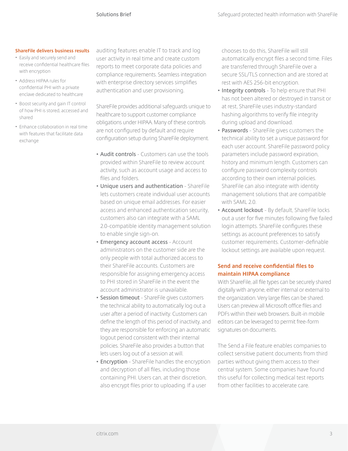#### **ShareFile delivers business results**

- Easily and securely send and receive confdential healthcare fles with encryption
- Address HIPAA rules for confdential PHI with a private enclave dedicated to healthcare
- Boost security and gain IT control of how PHI is stored, accessed and shared
- Enhance collaboration in real time with features that facilitate data exchange

auditing features enable IT to track and log user activity in real time and create custom reports to meet corporate data policies and compliance requirements. Seamless integration with enterprise directory services simplifes authentication and user provisioning.

ShareFile provides additional safeguards unique to healthcare to support customer compliance obligations under HIPAA. Many of these controls are not confgured by default and require confguration setup during ShareFile deployment.

- **• Audit controls** Customers can use the tools provided within ShareFile to review account activity, such as account usage and access to fles and folders.
- **• Unique users and authentication** ShareFile lets customers create individual user accounts based on unique email addresses. For easier access and enhanced authentication security, customers also can integrate with a SAML 2.0-compatible identity management solution to enable single sign-on.
- **• Emergency account access** Account administrators on the customer side are the only people with total authorized access to their ShareFile accounts. Customers are responsible for assigning emergency access to PHI stored in ShareFile in the event the account administrator is unavailable.
- **• Session timeout** ShareFile gives customers the technical ability to automatically log out a user after a period of inactivity. Customers can defne the length of this period of inactivity, and they are responsible for enforcing an automatic logout period consistent with their internal policies. ShareFile also provides a button that lets users log out of a session at will.
- **• Encryption** ShareFile handles the encryption and decryption of all fles, including those containing PHI. Users can, at their discretion, also encrypt fles prior to uploading. If a user

chooses to do this, ShareFile will still automatically encrypt fles a second time. Files are transferred through ShareFile over a secure SSL/TLS connection and are stored at rest with AES 256-bit encryption.

- **• Integrity controls** To help ensure that PHI has not been altered or destroyed in transit or at rest, ShareFile uses industry-standard hashing algorithms to verify fle integrity during upload and download.
- **• Passwords** ShareFile gives customers the technical ability to set a unique password for each user account. ShareFile password policy parameters include password expiration, history and minimum length. Customers can confgure password complexity controls according to their own internal policies. ShareFile can also integrate with identity management solutions that are compatible with SAML 2.0.
- **• Account lockout**  By default, ShareFile locks out a user for fve minutes following fve failed login attempts. ShareFile configures these settings as account preferences to satisfy customer requirements. Customer-defnable lockout settings are available upon request.

#### **Send and receive confdential fles to maintain HIPAA compliance**

With ShareFile, all fle types can be securely shared digitally with anyone, either internal or external to the organization. Very large fles can be shared. Users can preview all Microsoft offce fles and PDFs within their web browsers. Built-in mobile editors can be leveraged to permit free-form signatures on documents.

The Send a File feature enables companies to collect sensitive patient documents from third parties without giving them access to their central system. Some companies have found this useful for collecting medical test reports from other facilities to accelerate care.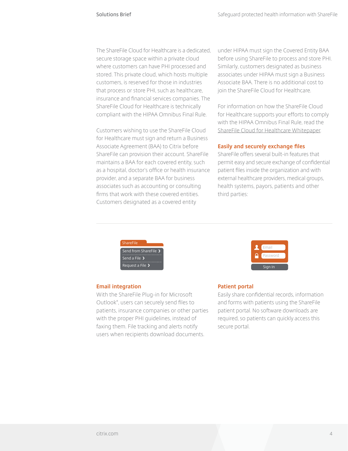The ShareFile Cloud for Healthcare is a dedicated, secure storage space within a private cloud where customers can have PHI processed and stored. This private cloud, which hosts multiple customers, is reserved for those in industries that process or store PHI, such as healthcare, insurance and fnancial services companies. The ShareFile Cloud for Healthcare is technically compliant with the HIPAA Omnibus Final Rule.

Customers wishing to use the ShareFile Cloud for Healthcare must sign and return a Business Associate Agreement (BAA) to Citrix before ShareFile can provision their account. ShareFile maintains a BAA for each covered entity, such as a hospital, doctor's offce or health insurance provider, and a separate BAA for business associates such as accounting or consulting frms that work with these covered entities. Customers designated as a covered entity

under HIPAA must sign the Covered Entity BAA before using ShareFile to process and store PHI. Similarly, customers designated as business associates under HIPAA must sign a Business Associate BAA. There is no additional cost to join the ShareFile Cloud for Healthcare.

For information on how the ShareFile Cloud for Healthcare supports your efforts to comply with the HIPAA Omnibus Final Rule, read the ShareFile Cloud for Healthcare Whitepaper.

#### **Easily and securely exchange fles**

ShareFile offers several built-in features that permit easy and secure exchange of confdential patient fles inside the organization and with external healthcare providers, medical groups, health systems, payors, patients and other third parties:



#### **Email integration**

With the ShareFile Plug-in for Microsoft Outlook® , users can securely send fles to patients, insurance companies or other parties with the proper PHI guidelines, instead of faxing them. File tracking and alerts notify users when recipients download documents.



#### **Patient portal**

Easily share confdential records, information and forms with patients using the ShareFile patient portal. No software downloads are required, so patients can quickly access this secure portal.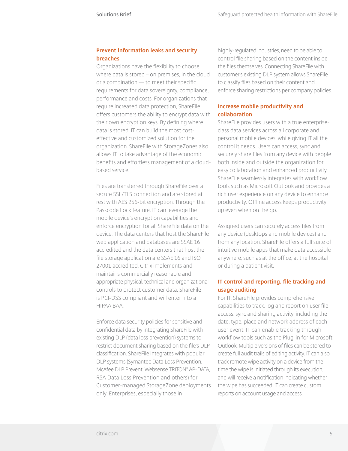### **Prevent information leaks and security breaches**

Organizations have the fexibility to choose where data is stored – on premises, in the cloud or a combination — to meet their specifc requirements for data sovereignty, compliance, performance and costs. For organizations that require increased data protection, ShareFile offers customers the ability to encrypt data with their own encryption keys. By defning where data is stored, IT can build the most costeffective and customized solution for the organization. ShareFile with StorageZones also allows IT to take advantage of the economic benefts and effortless management of a cloudbased service.

Files are transferred through ShareFile over a secure SSL/TLS connection and are stored at rest with AES 256-bit encryption. Through the Passcode Lock feature, IT can leverage the mobile device's encryption capabilities and enforce encryption for all ShareFile data on the device. The data centers that host the ShareFile web application and databases are SSAE 16 accredited and the data centers that host the fle storage application are SSAE 16 and ISO 27001 accredited. Citrix implements and maintains commercially reasonable and appropriate physical, technical and organizational controls to protect customer data. ShareFile is PCI-DSS compliant and will enter into a HIPAA BAA.

Enforce data security policies for sensitive and confdential data by integrating ShareFile with existing DLP (data loss prevention) systems to restrict document sharing based on the fle's DLP classifcation. ShareFile integrates with popular DLP systems (Symantec Data Loss Prevention, McAfee DLP Prevent, Websense TRITON® AP-DATA, RSA Data Loss Prevention and others) for Customer-managed StorageZone deployments only. Enterprises, especially those in

highly-regulated industries, need to be able to control fle sharing based on the content inside the fles themselves. Connecting ShareFile with customer's existing DLP system allows ShareFile to classify fles based on their content and enforce sharing restrictions per company policies.

## **Increase mobile productivity and collaboration**

ShareFile provides users with a true enterpriseclass data services across all corporate and personal mobile devices, while giving IT all the control it needs. Users can access, sync and securely share fles from any device with people both inside and outside the organization for easy collaboration and enhanced productivity. ShareFile seamlessly integrates with workflow tools such as Microsoft Outlook and provides a rich user experience on any device to enhance productivity. Offine access keeps productivity up even when on the go.

Assigned users can securely access fles from any device (desktops and mobile devices) and from any location. ShareFile offers a full suite of intuitive mobile apps that make data accessible anywhere, such as at the offce, at the hospital or during a patient visit.

## **IT control and reporting, fle tracking and usage auditing**

For IT, ShareFile provides comprehensive capabilities to track, log and report on user fle access, sync and sharing activity, including the date, type, place and network address of each user event. IT can enable tracking through workflow tools such as the Plug-in for Microsoft Outlook. Multiple versions of fles can be stored to create full audit trails of editing activity. IT can also track remote wipe activity on a device from the time the wipe is initiated through its execution, and will receive a notifcation indicating whether the wipe has succeeded. IT can create custom reports on account usage and access.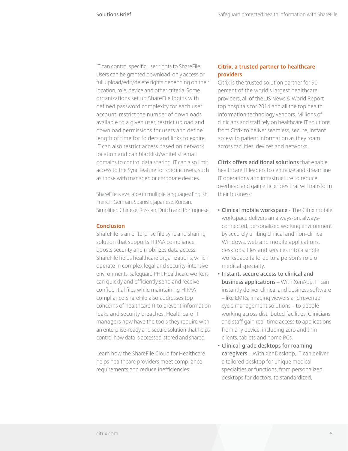IT can control specifc user rights to ShareFile. Users can be granted download-only access or full upload/edit/delete rights depending on their location, role, device and other criteria. Some organizations set up ShareFile logins with defined password complexity for each user account, restrict the number of downloads available to a given user, restrict upload and download permissions for users and define length of time for folders and links to expire. IT can also restrict access based on network location and can blacklist/whitelist email domains to control data sharing. IT can also limit access to the Sync feature for specifc users, such as those with managed or corporate devices.

ShareFile is available in multiple languages: English, French, German, Spanish, Japanese, Korean, Simplifed Chinese, Russian, Dutch and Portuguese.

#### **Conclusion**

ShareFile is an enterprise fle sync and sharing solution that supports HIPAA compliance, boosts security and mobilizes data access. ShareFile helps healthcare organizations, which operate in complex legal and security-intensive environments, safeguard PHI. Healthcare workers can quickly and effciently send and receive confdential fles while maintaining HIPAA compliance ShareFile also addresses top concerns of healthcare IT to prevent information leaks and security breaches. Healthcare IT managers now have the tools they require with an enterprise-ready and secure solution that helps control how data is accessed, stored and shared.

Learn how the ShareFile Cloud for Healthcare helps healthcare providers meet compliance requirements and reduce ineffciencies.

#### **Citrix, a trusted partner to healthcare providers**

Citrix is the trusted solution partner for 90 percent of the world's largest healthcare providers, all of the US News & World Report top hospitals for 2014 and all the top health information technology vendors. Millions of clinicians and staff rely on healthcare IT solutions from Citrix to deliver seamless, secure, instant access to patient information as they roam across facilities, devices and networks.

**Citrix offers additional solutions** that enable healthcare IT leaders to centralize and streamline IT operations and infrastructure to reduce overhead and gain effciencies that will transform their business:

- **• Clinical mobile workspace** The Citrix mobile workspace delivers an always-on, alwaysconnected, personalized working environment by securely uniting clinical and non-clinical Windows, web and mobile applications, desktops, files and services into a single workspace tailored to a person's role or medical specialty.
- **• Instant, secure access to clinical and business applications** – With XenApp, IT can instantly deliver clinical and business software – like EMRs, imaging viewers and revenue cycle management solutions – to people working across distributed facilities. Clinicians and staff gain real-time access to applications from any device, including zero and thin clients, tablets and home PCs.
- **• Clinical-grade desktops for roaming caregivers** – With XenDesktop, IT can deliver a tailored desktop for unique medical specialties or functions, from personalized desktops for doctors, to standardized,